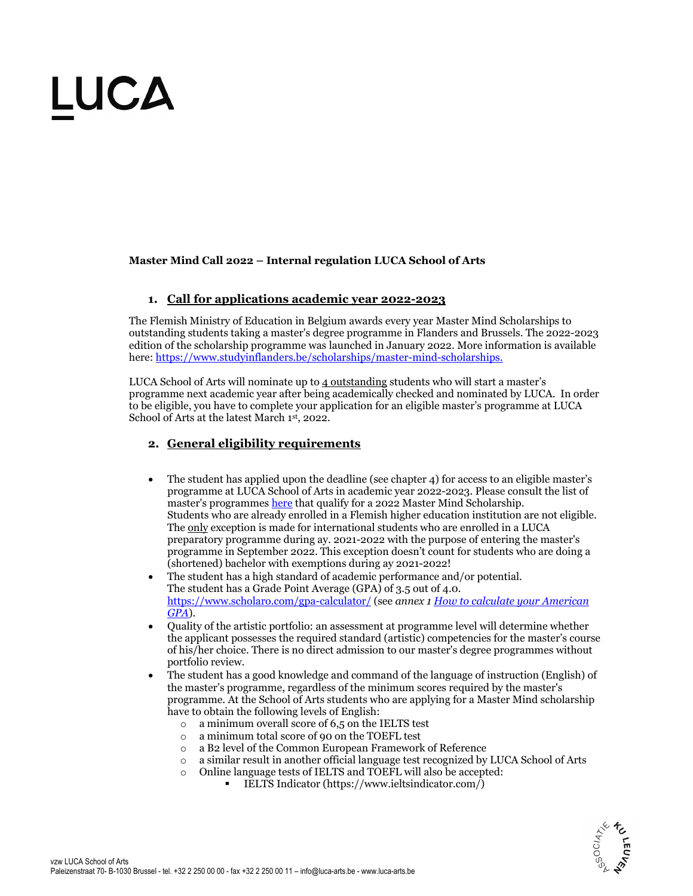#### **Master Mind Call 2022 – Internal regulation LUCA School of Arts**

### **1. Call for applications academic year 2022-2023**

The Flemish Ministry of Education in Belgium awards every year Master Mind Scholarships to outstanding students taking a master's degree programme in Flanders and Brussels. The 2022-2023 edition of the scholarship programme was launched in January 2022. More information is available here: https://www.studyinflanders.be/scholarships/master-mind-scholarships.

LUCA School of Arts will nominate up to 4 outstanding students who will start a master's programme next academic year after being academically checked and nominated by LUCA. In order to be eligible, you have to complete your application for an eligible master's programme at LUCA School of Arts at the latest March 1st, 2022.

### **2. General eligibility requirements**

- The student has applied upon the deadline (see chapter 4) for access to an eligible master's programme at LUCA School of Arts in academic year 2022-2023. Please consult the list of master's programmes here that qualify for a 2022 Master Mind Scholarship. Students who are already enrolled in a Flemish higher education institution are not eligible. The only exception is made for international students who are enrolled in a LUCA preparatory programme during ay. 2021-2022 with the purpose of entering the master's programme in September 2022. This exception doesn't count for students who are doing a (shortened) bachelor with exemptions during ay 2021-2022!
- The student has a high standard of academic performance and/or potential. The student has a Grade Point Average (GPA) of 3.5 out of 4.0. https://www.scholaro.com/gpa-calculator/ (see *annex 1 How to calculate your American GPA*).
- Quality of the artistic portfolio: an assessment at programme level will determine whether the applicant possesses the required standard (artistic) competencies for the master's course of his/her choice. There is no direct admission to our master's degree programmes without portfolio review.
- The student has a good knowledge and command of the language of instruction (English) of the master's programme, regardless of the minimum scores required by the master's programme. At the School of Arts students who are applying for a Master Mind scholarship have to obtain the following levels of English:
	- $\circ$  a minimum overall score of 6,5 on the IELTS test
	- o a minimum total score of 90 on the TOEFL test
	- o a B2 level of the Common European Framework of Reference
	- o a similar result in another official language test recognized by LUCA School of Arts
	- o Online language tests of IELTS and TOEFL will also be accepted:
		- **IELTS** Indicator (https://www.ieltsindicator.com/)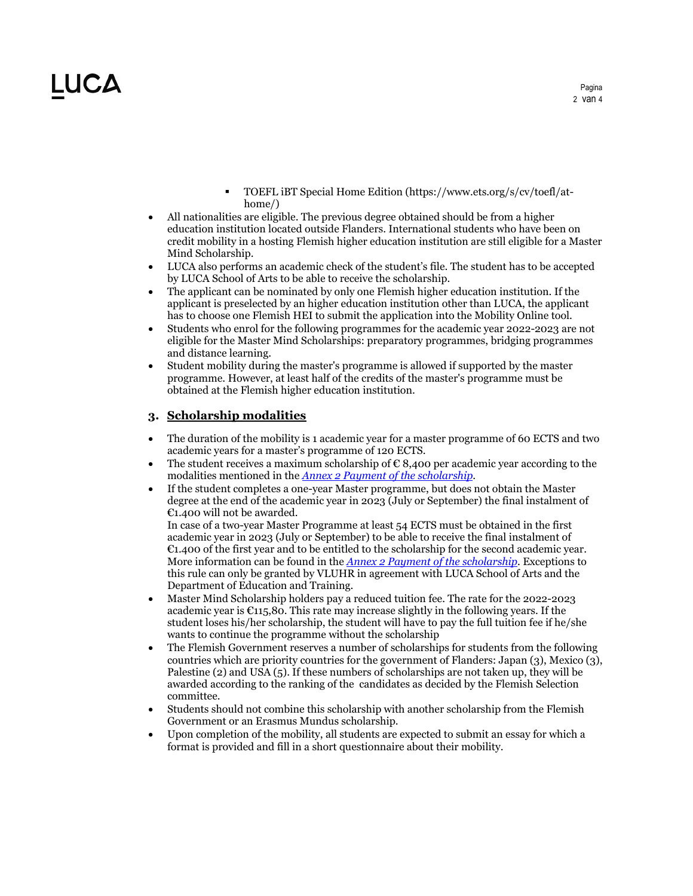- TOEFL iBT Special Home Edition (https://www.ets.org/s/cv/toefl/athome/)
- All nationalities are eligible. The previous degree obtained should be from a higher education institution located outside Flanders. International students who have been on credit mobility in a hosting Flemish higher education institution are still eligible for a Master Mind Scholarship.
- LUCA also performs an academic check of the student's file. The student has to be accepted by LUCA School of Arts to be able to receive the scholarship.
- The applicant can be nominated by only one Flemish higher education institution. If the applicant is preselected by an higher education institution other than LUCA, the applicant has to choose one Flemish HEI to submit the application into the Mobility Online tool.
- Students who enrol for the following programmes for the academic year 2022-2023 are not eligible for the Master Mind Scholarships: preparatory programmes, bridging programmes and distance learning.
- Student mobility during the master's programme is allowed if supported by the master programme. However, at least half of the credits of the master's programme must be obtained at the Flemish higher education institution.

### **3. Scholarship modalities**

- The duration of the mobility is 1 academic year for a master programme of 60 ECTS and two academic years for a master's programme of 120 ECTS.
- The student receives a maximum scholarship of  $\epsilon$  8,400 per academic year according to the modalities mentioned in the *Annex 2 Payment of the scholarship*.
- If the student completes a one-year Master programme, but does not obtain the Master degree at the end of the academic year in 2023 (July or September) the final instalment of €1.400 will not be awarded.

In case of a two-year Master Programme at least 54 ECTS must be obtained in the first academic year in 2023 (July or September) to be able to receive the final instalment of €1.400 of the first year and to be entitled to the scholarship for the second academic year. More information can be found in the *Annex 2 Payment of the scholarship*. Exceptions to this rule can only be granted by VLUHR in agreement with LUCA School of Arts and the Department of Education and Training.

- Master Mind Scholarship holders pay a reduced tuition fee. The rate for the 2022-2023 academic year is  $C115,80$ . This rate may increase slightly in the following years. If the student loses his/her scholarship, the student will have to pay the full tuition fee if he/she wants to continue the programme without the scholarship
- The Flemish Government reserves a number of scholarships for students from the following countries which are priority countries for the government of Flanders: Japan (3), Mexico (3), Palestine (2) and USA (5). If these numbers of scholarships are not taken up, they will be awarded according to the ranking of the candidates as decided by the Flemish Selection committee.
- Students should not combine this scholarship with another scholarship from the Flemish Government or an Erasmus Mundus scholarship.
- Upon completion of the mobility, all students are expected to submit an essay for which a format is provided and fill in a short questionnaire about their mobility.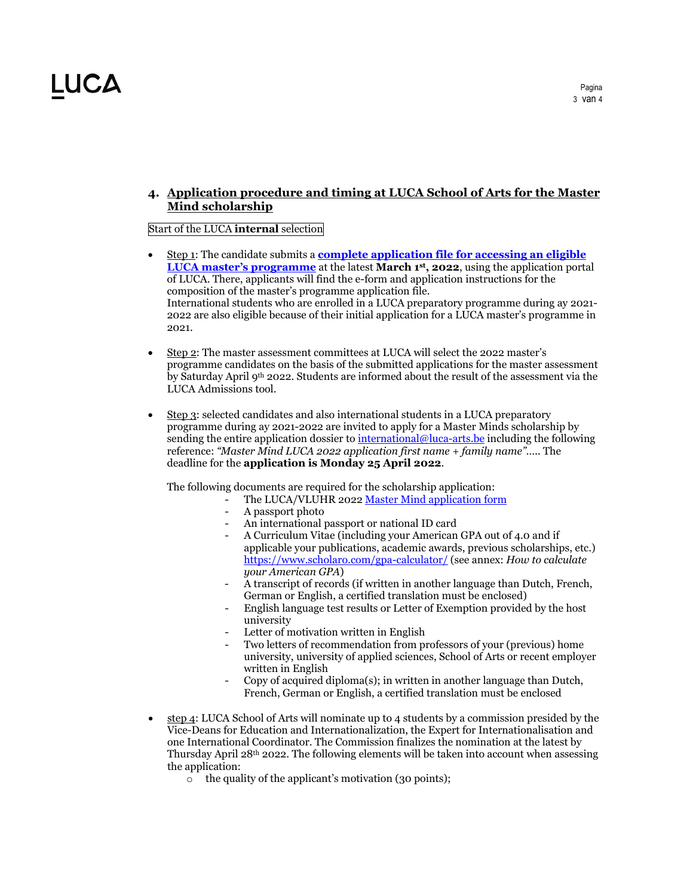### **4. Application procedure and timing at LUCA School of Arts for the Master Mind scholarship**

#### Start of the LUCA **internal** selection

- Step 1: The candidate submits a **complete application file for accessing an eligible LUCA master's programme** at the latest **March 1st, 2022**, using the application portal of LUCA. There, applicants will find the e-form and application instructions for the composition of the master's programme application file. International students who are enrolled in a LUCA preparatory programme during ay 2021- 2022 are also eligible because of their initial application for a LUCA master's programme in 2021.
- Step 2: The master assessment committees at LUCA will select the 2022 master's programme candidates on the basis of the submitted applications for the master assessment by Saturday April 9th 2022. Students are informed about the result of the assessment via the LUCA Admissions tool.
- Step 3: selected candidates and also international students in a LUCA preparatory programme during ay 2021-2022 are invited to apply for a Master Minds scholarship by sending the entire application dossier to international@luca-arts.be including the following reference: *"Master Mind LUCA 2022 application first name + family name"…..* The deadline for the **application is Monday 25 April 2022**.

The following documents are required for the scholarship application:

- The LUCA/VLUHR 2022 Master Mind application form
	- A passport photo
	- An international passport or national ID card
	- A Curriculum Vitae (including your American GPA out of 4.0 and if applicable your publications, academic awards, previous scholarships, etc.) https://www.scholaro.com/gpa-calculator/ (see annex: *How to calculate your American GPA*)
	- A transcript of records (if written in another language than Dutch, French, German or English, a certified translation must be enclosed)
	- English language test results or Letter of Exemption provided by the host university
	- Letter of motivation written in English
	- Two letters of recommendation from professors of your (previous) home university, university of applied sciences, School of Arts or recent employer written in English
	- Copy of acquired diploma(s); in written in another language than Dutch, French, German or English, a certified translation must be enclosed
- step 4: LUCA School of Arts will nominate up to 4 students by a commission presided by the Vice-Deans for Education and Internationalization, the Expert for Internationalisation and one International Coordinator. The Commission finalizes the nomination at the latest by Thursday April  $28<sup>th</sup>$  2022. The following elements will be taken into account when assessing the application:
	- o the quality of the applicant's motivation (30 points);